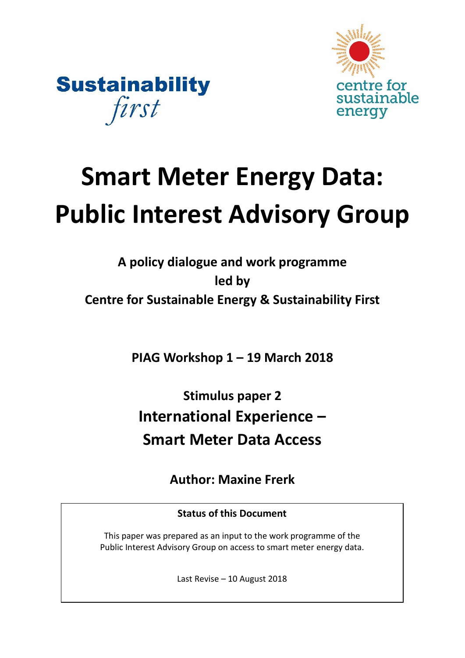



# **Smart Meter Energy Data: Public Interest Advisory Group**

**A policy dialogue and work programme led by Centre for Sustainable Energy & Sustainability First**

**PIAG Workshop 1 – 19 March 2018**

**Stimulus paper 2 International Experience – Smart Meter Data Access** 

**Author: Maxine Frerk**

**Status of this Document**

This paper was prepared as an input to the work programme of the Public Interest Advisory Group on access to smart meter energy data.

Last Revise – 10 August 2018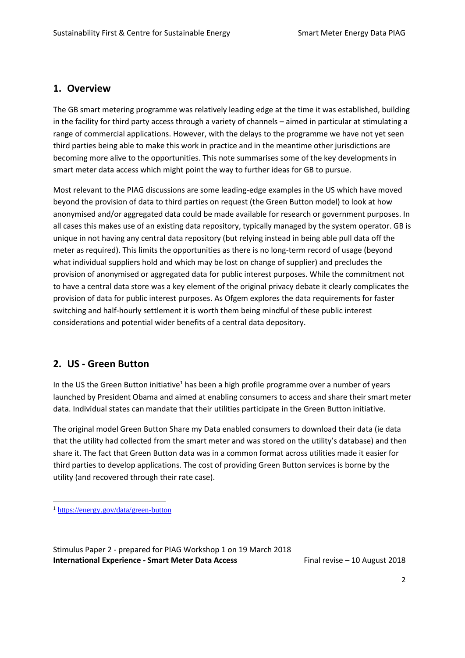## **1. Overview**

The GB smart metering programme was relatively leading edge at the time it was established, building in the facility for third party access through a variety of channels – aimed in particular at stimulating a range of commercial applications. However, with the delays to the programme we have not yet seen third parties being able to make this work in practice and in the meantime other jurisdictions are becoming more alive to the opportunities. This note summarises some of the key developments in smart meter data access which might point the way to further ideas for GB to pursue.

Most relevant to the PIAG discussions are some leading-edge examples in the US which have moved beyond the provision of data to third parties on request (the Green Button model) to look at how anonymised and/or aggregated data could be made available for research or government purposes. In all cases this makes use of an existing data repository, typically managed by the system operator. GB is unique in not having any central data repository (but relying instead in being able pull data off the meter as required). This limits the opportunities as there is no long-term record of usage (beyond what individual suppliers hold and which may be lost on change of supplier) and precludes the provision of anonymised or aggregated data for public interest purposes. While the commitment not to have a central data store was a key element of the original privacy debate it clearly complicates the provision of data for public interest purposes. As Ofgem explores the data requirements for faster switching and half-hourly settlement it is worth them being mindful of these public interest considerations and potential wider benefits of a central data depository.

## **2. US - Green Button**

In the US the Green Button initiative<sup>1</sup> has been a high profile programme over a number of years launched by President Obama and aimed at enabling consumers to access and share their smart meter data. Individual states can mandate that their utilities participate in the Green Button initiative.

The original model Green Button Share my Data enabled consumers to download their data (ie data that the utility had collected from the smart meter and was stored on the utility's database) and then share it. The fact that Green Button data was in a common format across utilities made it easier for third parties to develop applications. The cost of providing Green Button services is borne by the utility (and recovered through their rate case).

 $\overline{a}$ 

<sup>1</sup> <https://energy.gov/data/green-button>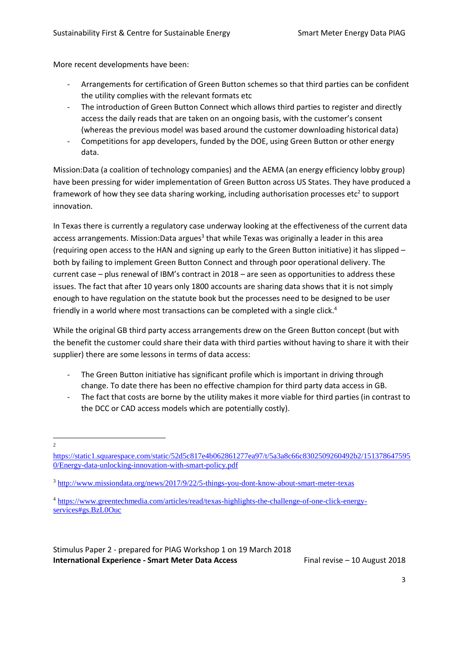More recent developments have been:

- Arrangements for certification of Green Button schemes so that third parties can be confident the utility complies with the relevant formats etc
- The introduction of Green Button Connect which allows third parties to register and directly access the daily reads that are taken on an ongoing basis, with the customer's consent (whereas the previous model was based around the customer downloading historical data)
- Competitions for app developers, funded by the DOE, using Green Button or other energy data.

Mission:Data (a coalition of technology companies) and the AEMA (an energy efficiency lobby group) have been pressing for wider implementation of Green Button across US States. They have produced a framework of how they see data sharing working, including authorisation processes etc<sup>2</sup> to support innovation.

In Texas there is currently a regulatory case underway looking at the effectiveness of the current data access arrangements. Mission:Data argues<sup>3</sup> that while Texas was originally a leader in this area (requiring open access to the HAN and signing up early to the Green Button initiative) it has slipped – both by failing to implement Green Button Connect and through poor operational delivery. The current case – plus renewal of IBM's contract in 2018 – are seen as opportunities to address these issues. The fact that after 10 years only 1800 accounts are sharing data shows that it is not simply enough to have regulation on the statute book but the processes need to be designed to be user friendly in a world where most transactions can be completed with a single click.<sup>4</sup>

While the original GB third party access arrangements drew on the Green Button concept (but with the benefit the customer could share their data with third parties without having to share it with their supplier) there are some lessons in terms of data access:

- The Green Button initiative has significant profile which is important in driving through change. To date there has been no effective champion for third party data access in GB.
- The fact that costs are borne by the utility makes it more viable for third parties (in contrast to the DCC or CAD access models which are potentially costly).

 $\overline{a}$  $\overline{2}$ 

[https://static1.squarespace.com/static/52d5c817e4b062861277ea97/t/5a3a8c66c8302509260492b2/151378647595](https://static1.squarespace.com/static/52d5c817e4b062861277ea97/t/5a3a8c66c8302509260492b2/1513786475950/Energy-data-unlocking-innovation-with-smart-policy.pdf) [0/Energy-data-unlocking-innovation-with-smart-policy.pdf](https://static1.squarespace.com/static/52d5c817e4b062861277ea97/t/5a3a8c66c8302509260492b2/1513786475950/Energy-data-unlocking-innovation-with-smart-policy.pdf)

<sup>3</sup> <http://www.missiondata.org/news/2017/9/22/5-things-you-dont-know-about-smart-meter-texas>

<sup>4</sup> [https://www.greentechmedia.com/articles/read/texas-highlights-the-challenge-of-one-click-energy](https://www.greentechmedia.com/articles/read/texas-highlights-the-challenge-of-one-click-energy-services#gs.BzL0Ouc)[services#gs.BzL0Ouc](https://www.greentechmedia.com/articles/read/texas-highlights-the-challenge-of-one-click-energy-services#gs.BzL0Ouc)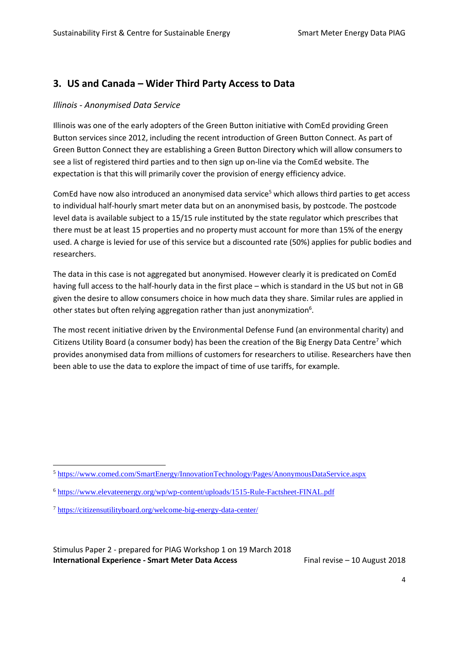# **3. US and Canada – Wider Third Party Access to Data**

#### *Illinois - Anonymised Data Service*

Illinois was one of the early adopters of the Green Button initiative with ComEd providing Green Button services since 2012, including the recent introduction of Green Button Connect. As part of Green Button Connect they are establishing a Green Button Directory which will allow consumers to see a list of registered third parties and to then sign up on-line via the ComEd website. The expectation is that this will primarily cover the provision of energy efficiency advice.

ComEd have now also introduced an anonymised data service<sup>5</sup> which allows third parties to get access to individual half-hourly smart meter data but on an anonymised basis, by postcode. The postcode level data is available subject to a 15/15 rule instituted by the state regulator which prescribes that there must be at least 15 properties and no property must account for more than 15% of the energy used. A charge is levied for use of this service but a discounted rate (50%) applies for public bodies and researchers.

The data in this case is not aggregated but anonymised. However clearly it is predicated on ComEd having full access to the half-hourly data in the first place – which is standard in the US but not in GB given the desire to allow consumers choice in how much data they share. Similar rules are applied in other states but often relying aggregation rather than just anonymization<sup>6</sup>.

The most recent initiative driven by the Environmental Defense Fund (an environmental charity) and Citizens Utility Board (a consumer body) has been the creation of the Big Energy Data Centre<sup>7</sup> which provides anonymised data from millions of customers for researchers to utilise. Researchers have then been able to use the data to explore the impact of time of use tariffs, for example.

 $\overline{a}$ 

<sup>5</sup> <https://www.comed.com/SmartEnergy/InnovationTechnology/Pages/AnonymousDataService.aspx>

<sup>6</sup> <https://www.elevateenergy.org/wp/wp-content/uploads/1515-Rule-Factsheet-FINAL.pdf>

<sup>7</sup> <https://citizensutilityboard.org/welcome-big-energy-data-center/>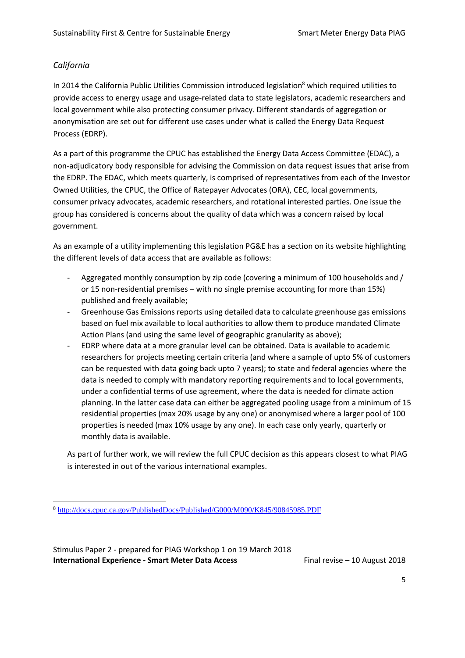#### *California*

 $\overline{a}$ 

In 2014 the California Public Utilities Commission introduced legislation<sup>8</sup> which required utilities to provide access to energy usage and usage-related data to state legislators, academic researchers and local government while also protecting consumer privacy. Different standards of aggregation or anonymisation are set out for different use cases under what is called the Energy Data Request Process (EDRP).

As a part of this programme the CPUC has established the Energy Data Access Committee (EDAC), a non-adjudicatory body responsible for advising the Commission on data request issues that arise from the EDRP. The EDAC, which meets quarterly, is comprised of representatives from each of the Investor Owned Utilities, the CPUC, the Office of Ratepayer Advocates (ORA), CEC, local governments, consumer privacy advocates, academic researchers, and rotational interested parties. One issue the group has considered is concerns about the quality of data which was a concern raised by local government.

As an example of a utility implementing this legislation PG&E has a section on its website highlighting the different levels of data access that are available as follows:

- Aggregated monthly consumption by zip code (covering a minimum of 100 households and / or 15 non-residential premises – with no single premise accounting for more than 15%) published and freely available;
- Greenhouse Gas Emissions reports using detailed data to calculate greenhouse gas emissions based on fuel mix available to local authorities to allow them to produce mandated Climate Action Plans (and using the same level of geographic granularity as above);
- EDRP where data at a more granular level can be obtained. Data is available to academic researchers for projects meeting certain criteria (and where a sample of upto 5% of customers can be requested with data going back upto 7 years); to state and federal agencies where the data is needed to comply with mandatory reporting requirements and to local governments, under a confidential terms of use agreement, where the data is needed for climate action planning. In the latter case data can either be aggregated pooling usage from a minimum of 15 residential properties (max 20% usage by any one) or anonymised where a larger pool of 100 properties is needed (max 10% usage by any one). In each case only yearly, quarterly or monthly data is available.

As part of further work, we will review the full CPUC decision as this appears closest to what PIAG is interested in out of the various international examples.

<sup>8</sup> <http://docs.cpuc.ca.gov/PublishedDocs/Published/G000/M090/K845/90845985.PDF>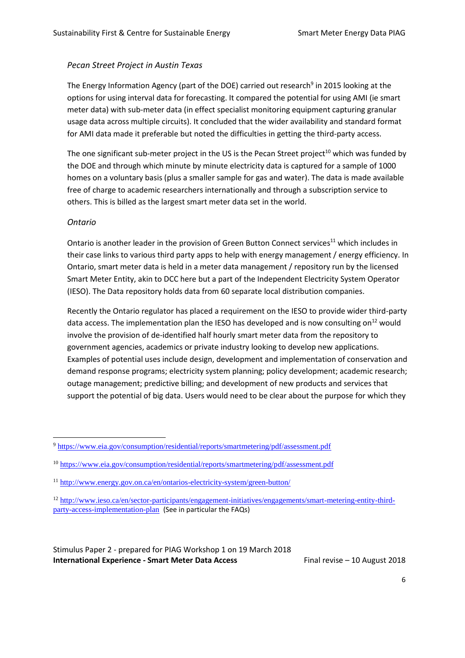### *Pecan Street Project in Austin Texas*

The Energy Information Agency (part of the DOE) carried out research<sup>9</sup> in 2015 looking at the options for using interval data for forecasting. It compared the potential for using AMI (ie smart meter data) with sub-meter data (in effect specialist monitoring equipment capturing granular usage data across multiple circuits). It concluded that the wider availability and standard format for AMI data made it preferable but noted the difficulties in getting the third-party access.

The one significant sub-meter project in the US is the Pecan Street project<sup>10</sup> which was funded by the DOE and through which minute by minute electricity data is captured for a sample of 1000 homes on a voluntary basis (plus a smaller sample for gas and water). The data is made available free of charge to academic researchers internationally and through a subscription service to others. This is billed as the largest smart meter data set in the world.

#### *Ontario*

 $\overline{a}$ 

Ontario is another leader in the provision of Green Button Connect services<sup>11</sup> which includes in their case links to various third party apps to help with energy management / energy efficiency. In Ontario, smart meter data is held in a meter data management / repository run by the licensed Smart Meter Entity, akin to DCC here but a part of the Independent Electricity System Operator (IESO). The Data repository holds data from 60 separate local distribution companies.

Recently the Ontario regulator has placed a requirement on the IESO to provide wider third-party data access. The implementation plan the IESO has developed and is now consulting on<sup>12</sup> would involve the provision of de-identified half hourly smart meter data from the repository to government agencies, academics or private industry looking to develop new applications. Examples of potential uses include design, development and implementation of conservation and demand response programs; electricity system planning; policy development; academic research; outage management; predictive billing; and development of new products and services that support the potential of big data. Users would need to be clear about the purpose for which they

<sup>9</sup> <https://www.eia.gov/consumption/residential/reports/smartmetering/pdf/assessment.pdf>

<sup>10</sup> <https://www.eia.gov/consumption/residential/reports/smartmetering/pdf/assessment.pdf>

<sup>11</sup> <http://www.energy.gov.on.ca/en/ontarios-electricity-system/green-button/>

<sup>12</sup> [http://www.ieso.ca/en/sector-participants/engagement-initiatives/engagements/smart-metering-entity-third](http://www.ieso.ca/en/sector-participants/engagement-initiatives/engagements/smart-metering-entity-third-party-access-implementation-plan)[party-access-implementation-plan](http://www.ieso.ca/en/sector-participants/engagement-initiatives/engagements/smart-metering-entity-third-party-access-implementation-plan) (See in particular the FAQs)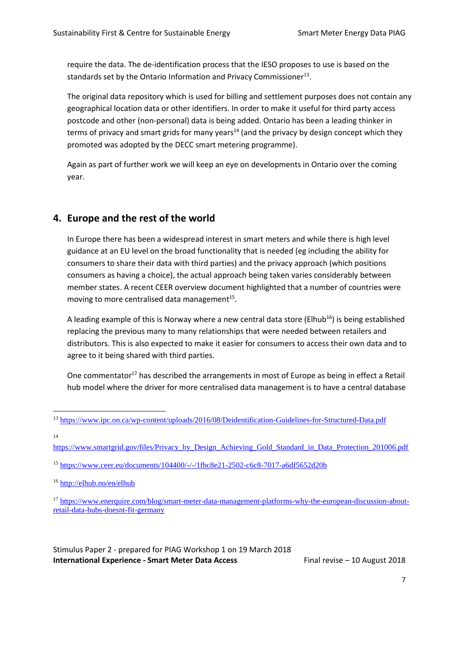require the data. The de-identification process that the IESO proposes to use is based on the standards set by the Ontario Information and Privacy Commissioner $^{13}$ .

The original data repository which is used for billing and settlement purposes does not contain any geographical location data or other identifiers. In order to make it useful for third party access postcode and other (non-personal) data is being added. Ontario has been a leading thinker in terms of privacy and smart grids for many years<sup>14</sup> (and the privacy by design concept which they promoted was adopted by the DECC smart metering programme).

Again as part of further work we will keep an eye on developments in Ontario over the coming year.

# **4. Europe and the rest of the world**

In Europe there has been a widespread interest in smart meters and while there is high level guidance at an EU level on the broad functionality that is needed (eg including the ability for consumers to share their data with third parties) and the privacy approach (which positions consumers as having a choice), the actual approach being taken varies considerably between member states. A recent CEER overview document highlighted that a number of countries were moving to more centralised data management $^{15}$ .

A leading example of this is Norway where a new central data store (Elhub<sup>16</sup>) is being established replacing the previous many to many relationships that were needed between retailers and distributors. This is also expected to make it easier for consumers to access their own data and to agree to it being shared with third parties.

One commentator<sup>17</sup> has described the arrangements in most of Europe as being in effect a Retail hub model where the driver for more centralised data management is to have a central database

14

[https://www.smartgrid.gov/files/Privacy\\_by\\_Design\\_Achieving\\_Gold\\_Standard\\_in\\_Data\\_Protection\\_201006.pdf](https://www.smartgrid.gov/files/Privacy_by_Design_Achieving_Gold_Standard_in_Data_Protection_201006.pdf)

 $\overline{a}$ <sup>13</sup> <https://www.ipc.on.ca/wp-content/uploads/2016/08/Deidentification-Guidelines-for-Structured-Data.pdf>

<sup>15</sup> <https://www.ceer.eu/documents/104400/-/-/1fbc8e21-2502-c6c8-7017-a6df5652d20b>

<sup>16</sup> <http://elhub.no/en/elhub>

<sup>17</sup> [https://www.enerquire.com/blog/smart-meter-data-management-platforms-why-the-european-discussion-about](https://www.enerquire.com/blog/smart-meter-data-management-platforms-why-the-european-discussion-about-retail-data-hubs-doesnt-fit-germany)[retail-data-hubs-doesnt-fit-germany](https://www.enerquire.com/blog/smart-meter-data-management-platforms-why-the-european-discussion-about-retail-data-hubs-doesnt-fit-germany)